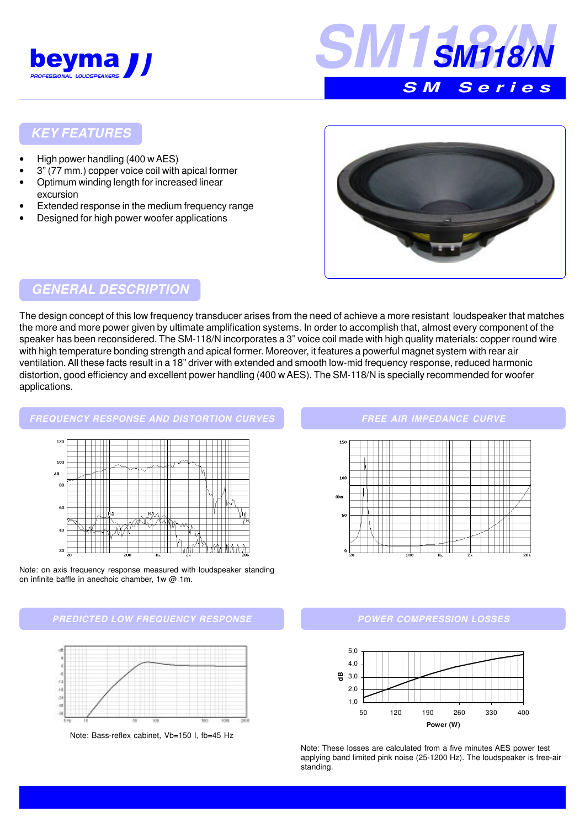



#### **KEY FEATURES**

- High power handling (400 w AES)
- 3" (77 mm.) copper voice coil with apical former
- Optimum winding length for increased linear excursion
- Extended response in the medium frequency range
- Designed for high power woofer applications



# **GENERAL DESCRIPTION**

The design concept of this low frequency transducer arises from the need of achieve a more resistant loudspeaker that matches the more and more power given by ultimate amplification systems. In order to accomplish that, almost every component of the speaker has been reconsidered. The SM-118/N incorporates a 3" voice coil made with high quality materials: copper round wire with high temperature bonding strength and apical former. Moreover, it features a powerful magnet system with rear air ventilation. All these facts result in a 18" driver with extended and smooth low-mid frequency response, reduced harmonic distortion, good efficiency and excellent power handling (400 w AES). The SM-118/N is specially recommended for woofer applications.

# **FREQUENCY RESPONSE AND DISTORTION CURVES**



Note: on axis frequency response measured with loudspeaker standing on infinite baffle in anechoic chamber, 1w @ 1m.

#### **PREDICTED LOW FREQUENCY RESPONSE**



Note: Bass-reflex cabinet, Vb=150 l, fb=45 Hz

#### **FREE AIR IMPEDANCE CURVE**



#### **POWER COMPRESSION LOSSES**



Note: These losses are calculated from a five minutes AES power test applying band limited pink noise (25-1200 Hz). The loudspeaker is free-air standing.